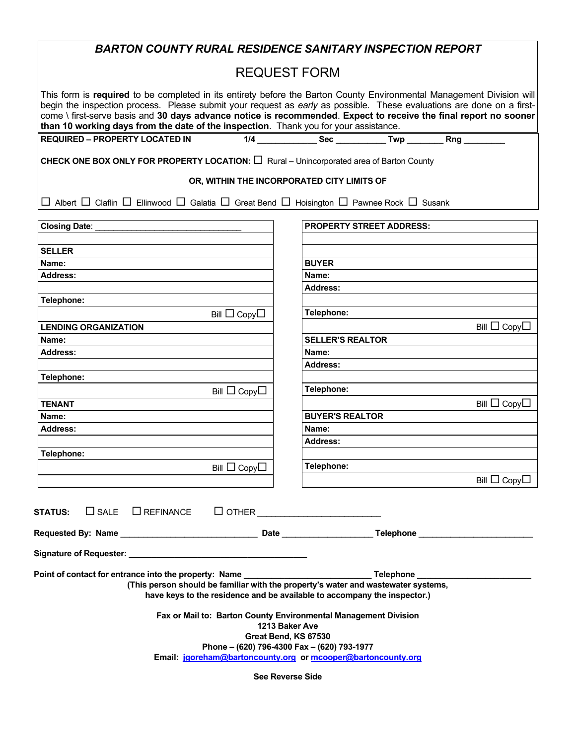| <b>BARTON COUNTY RURAL RESIDENCE SANITARY INSPECTION REPORT</b>                                                                                                                                                                                                                                                                                                                                                                                            |                                                                                                                                                               |
|------------------------------------------------------------------------------------------------------------------------------------------------------------------------------------------------------------------------------------------------------------------------------------------------------------------------------------------------------------------------------------------------------------------------------------------------------------|---------------------------------------------------------------------------------------------------------------------------------------------------------------|
| <b>REQUEST FORM</b>                                                                                                                                                                                                                                                                                                                                                                                                                                        |                                                                                                                                                               |
| This form is required to be completed in its entirety before the Barton County Environmental Management Division will<br>begin the inspection process. Please submit your request as early as possible. These evaluations are done on a first-<br>come \ first-serve basis and 30 days advance notice is recommended. Expect to receive the final report no sooner<br>than 10 working days from the date of the inspection. Thank you for your assistance. |                                                                                                                                                               |
| <b>REQUIRED - PROPERTY LOCATED IN</b>                                                                                                                                                                                                                                                                                                                                                                                                                      | 1/4 __________________ Sec _______________ Twp ____________ Rng ___________                                                                                   |
| <b>CHECK ONE BOX ONLY FOR PROPERTY LOCATION:</b> $\Box$ Rural – Unincorporated area of Barton County                                                                                                                                                                                                                                                                                                                                                       |                                                                                                                                                               |
| OR, WITHIN THE INCORPORATED CITY LIMITS OF                                                                                                                                                                                                                                                                                                                                                                                                                 |                                                                                                                                                               |
| $\Box$ Albert $\Box$ Claflin $\Box$ Ellinwood $\Box$ Galatia $\Box$ Great Bend $\Box$ Hoisington $\Box$ Pawnee Rock $\Box$ Susank                                                                                                                                                                                                                                                                                                                          |                                                                                                                                                               |
| Closing Date:                                                                                                                                                                                                                                                                                                                                                                                                                                              | <b>PROPERTY STREET ADDRESS:</b>                                                                                                                               |
|                                                                                                                                                                                                                                                                                                                                                                                                                                                            |                                                                                                                                                               |
| <b>SELLER</b>                                                                                                                                                                                                                                                                                                                                                                                                                                              |                                                                                                                                                               |
| Name:                                                                                                                                                                                                                                                                                                                                                                                                                                                      | <b>BUYER</b>                                                                                                                                                  |
| <b>Address:</b>                                                                                                                                                                                                                                                                                                                                                                                                                                            | Name:                                                                                                                                                         |
|                                                                                                                                                                                                                                                                                                                                                                                                                                                            | <b>Address:</b>                                                                                                                                               |
| Telephone:                                                                                                                                                                                                                                                                                                                                                                                                                                                 |                                                                                                                                                               |
| Bill $\Box$ Copy $\Box$                                                                                                                                                                                                                                                                                                                                                                                                                                    | Telephone:                                                                                                                                                    |
| <b>LENDING ORGANIZATION</b>                                                                                                                                                                                                                                                                                                                                                                                                                                | Bill $\Box$ Copy $\Box$                                                                                                                                       |
| Name:                                                                                                                                                                                                                                                                                                                                                                                                                                                      | <b>SELLER'S REALTOR</b>                                                                                                                                       |
| <b>Address:</b>                                                                                                                                                                                                                                                                                                                                                                                                                                            | Name:                                                                                                                                                         |
|                                                                                                                                                                                                                                                                                                                                                                                                                                                            | <b>Address:</b>                                                                                                                                               |
| Telephone:                                                                                                                                                                                                                                                                                                                                                                                                                                                 | Telephone:                                                                                                                                                    |
| Bill $\Box$ Copy $\Box$                                                                                                                                                                                                                                                                                                                                                                                                                                    |                                                                                                                                                               |
| <b>TENANT</b>                                                                                                                                                                                                                                                                                                                                                                                                                                              | Bill $\Box$ Copy $\Box$                                                                                                                                       |
| Name:                                                                                                                                                                                                                                                                                                                                                                                                                                                      | <b>BUYER'S REALTOR</b>                                                                                                                                        |
| <b>Address:</b>                                                                                                                                                                                                                                                                                                                                                                                                                                            | Name:                                                                                                                                                         |
| Telephone:                                                                                                                                                                                                                                                                                                                                                                                                                                                 | <b>Address:</b>                                                                                                                                               |
|                                                                                                                                                                                                                                                                                                                                                                                                                                                            |                                                                                                                                                               |
| Bill $\Box$ Copy $\Box$                                                                                                                                                                                                                                                                                                                                                                                                                                    | Telephone:                                                                                                                                                    |
|                                                                                                                                                                                                                                                                                                                                                                                                                                                            | Bill $\Box$ Copy $\Box$                                                                                                                                       |
| $\Box$ SALE $\Box$ REFINANCE $\Box$ OTHER $\_\_\_\_\_\_\_\_\_\_\_\_$<br><b>STATUS:</b>                                                                                                                                                                                                                                                                                                                                                                     |                                                                                                                                                               |
|                                                                                                                                                                                                                                                                                                                                                                                                                                                            |                                                                                                                                                               |
|                                                                                                                                                                                                                                                                                                                                                                                                                                                            |                                                                                                                                                               |
|                                                                                                                                                                                                                                                                                                                                                                                                                                                            | (This person should be familiar with the property's water and wastewater systems,<br>have keys to the residence and be available to accompany the inspector.) |
| Fax or Mail to: Barton County Environmental Management Division<br>1213 Baker Ave                                                                                                                                                                                                                                                                                                                                                                          |                                                                                                                                                               |
| Great Bend, KS 67530                                                                                                                                                                                                                                                                                                                                                                                                                                       |                                                                                                                                                               |
| Phone - (620) 796-4300 Fax - (620) 793-1977                                                                                                                                                                                                                                                                                                                                                                                                                |                                                                                                                                                               |
| Email: jgoreham@bartoncounty.org or mcooper@bartoncounty.org                                                                                                                                                                                                                                                                                                                                                                                               |                                                                                                                                                               |
| <b>See Reverse Side</b>                                                                                                                                                                                                                                                                                                                                                                                                                                    |                                                                                                                                                               |